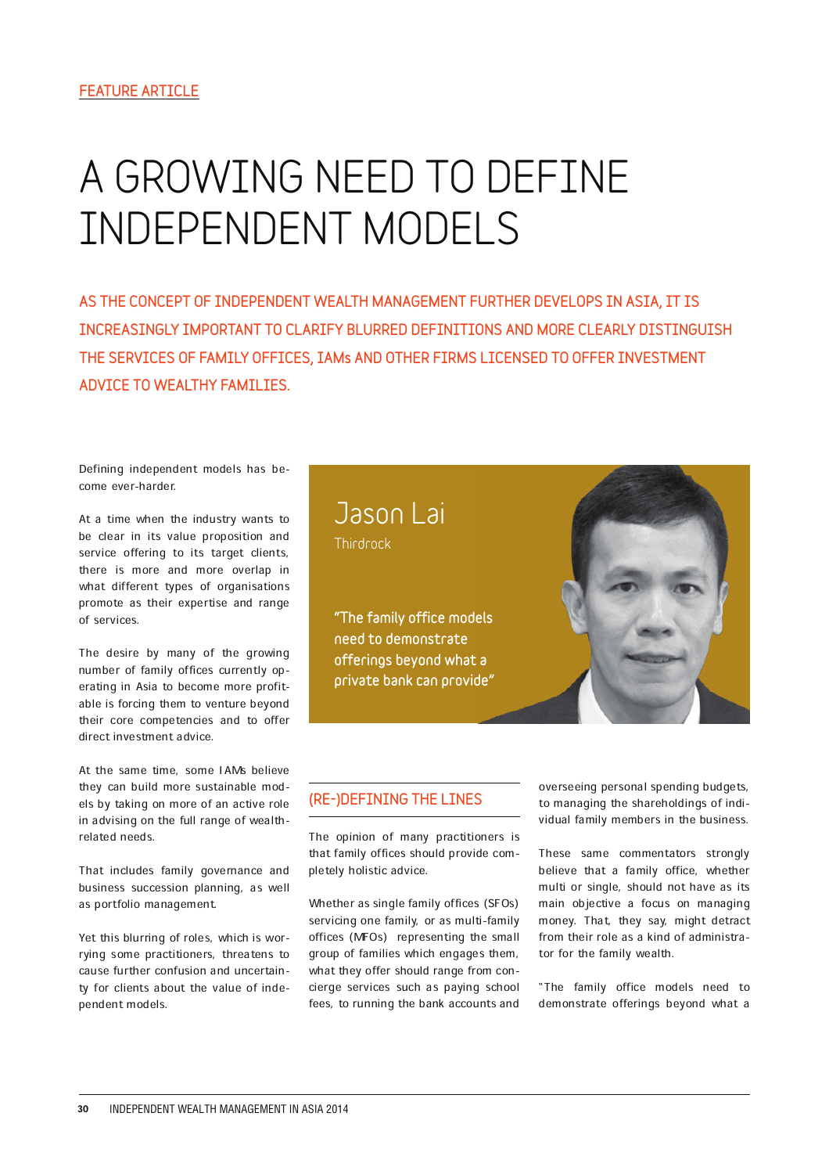# **A GROWING NEED TO DEFINE INDEPENDENT MODELS**

AS THE CONCEPT OF INDEPENDENT WEALTH MANAGEMENT FURTHER DEVELOPS IN ASIA, IT IS INCREASINGLY IMPORTANT TO CLARIFY BLURRED DEFINITIONS AND MORE CLEARLY DISTINGUISH THE SERVICES OF FAMILY OFFICES, IAMs AND OTHER FIRMS LICENSED TO OFFER INVESTMENT ADVICE TO WEALTHY FAMILIES.

Defining independent models has become ever-harder.

At a time when the industry wants to be clear in its value proposition and service offering to its target clients, there is more and more overlap in what different types of organisations promote as their expertise and range of services.

The desire by many of the growing number of family offices currently operating in Asia to become more profitable is forcing them to venture beyond their core competencies and to offer direct investment advice.

At the same time, some IAMs believe they can build more sustainable models by taking on more of an active role in advising on the full range of wealthrelated needs.

That includes family governance and business succession planning, as well as portfolio management.

Yet this blurring of roles, which is worrying some practitioners, threatens to cause further confusion and uncertainty for clients about the value of independent models.



"The family office models need to demonstrate offerings beyond what a private bank can provide"



#### (RE-)DEFINING THE LINES

The opinion of many practitioners is that family offices should provide completely holistic advice.

Whether as single family offices (SFOs) servicing one family, or as multi-family offices (MFOs) representing the small group of families which engages them, what they offer should range from concierge services such as paying school fees, to running the bank accounts and overseeing personal spending budgets, to managing the shareholdings of individual family members in the business.

These same commentators strongly believe that a family office, whether multi or single, should not have as its main objective a focus on managing money. That, they say, might detract from their role as a kind of administrator for the family wealth.

"The family office models need to demonstrate offerings beyond what a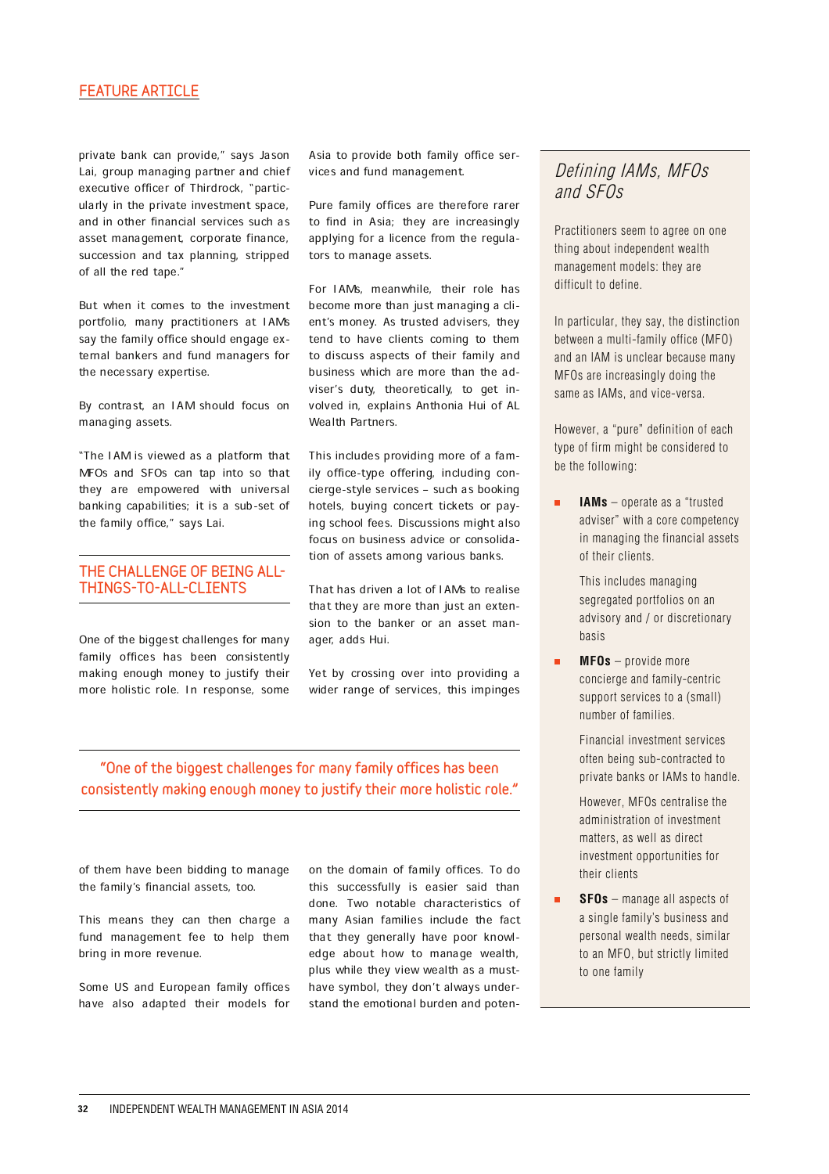#### FEATURE ARTICLE

private bank can provide," says Jason Lai, group managing partner and chief executive officer of Thirdrock, "particularly in the private investment space, and in other financial services such as asset management, corporate finance, succession and tax planning, stripped of all the red tape."

But when it comes to the investment portfolio, many practitioners at IAMs say the family office should engage external bankers and fund managers for the necessary expertise.

By contrast, an IAM should focus on managing assets.

"The IAM is viewed as a platform that MFOs and SFOs can tap into so that they are empowered with universal banking capabilities; it is a sub-set of the family office," says Lai.

#### THE CHALLENGE OF BEING ALL-THINGS-TO-ALL-CLIENTS

One of the biggest challenges for many family offices has been consistently making enough money to justify their more holistic role. In response, some

Asia to provide both family office services and fund management.

Pure family offices are therefore rarer to find in Asia; they are increasingly applying for a licence from the regulators to manage assets.

For IAMs, meanwhile, their role has become more than just managing a client's money. As trusted advisers, they tend to have clients coming to them to discuss aspects of their family and business which are more than the adviser's duty, theoretically, to get involved in, explains Anthonia Hui of AL Wealth Partners.

This includes providing more of a family office-type offering, including concierge-style services - such as booking hotels, buying concert tickets or paying school fees. Discussions might also focus on business advice or consolidation of assets among various banks.

That has driven a lot of IAMs to realise that they are more than just an extension to the banker or an asset manager, adds Hui.

Yet by crossing over into providing a wider range of services, this impinges

## "One of the biggest challenges for many family offices has been consistently making enough money to justify their more holistic role."

of them have been bidding to manage the family's financial assets, too.

This means they can then charge a fund management fee to help them bring in more revenue.

Some US and European family offices have also adapted their models for on the domain of family offices. To do this successfully is easier said than done. Two notable characteristics of many Asian families include the fact that they generally have poor knowledge about how to manage wealth, plus while they view wealth as a musthave symbol, they don't always understand the emotional burden and poten-

## Defining IAMs, MFOs and SFOs

Practitioners seem to agree on one thing about independent wealth management models: they are difficult to define.

In particular, they say, the distinction between a multi-family office (MFO) and an IAM is unclear because many MFOs are increasingly doing the same as IAMs, and vice-versa.

However, a "pure" definition of each type of firm might be considered to be the following:

 $\blacksquare$ **IAMs** – operate as a "trusted adviser" with a core competency in managing the financial assets of their clients.

> This includes managing segregated portfolios on an advisory and / or discretionary basis

**MFOs** – provide more concierge and family-centric support services to a (small) number of families.

> Financial investment services often being sub-contracted to private banks or IAMs to handle.

 However, MFOs centralise the administration of investment matters, as well as direct investment opportunities for their clients

**SFOs** – manage all aspects of a single family's business and personal wealth needs, similar to an MFO, but strictly limited to one family